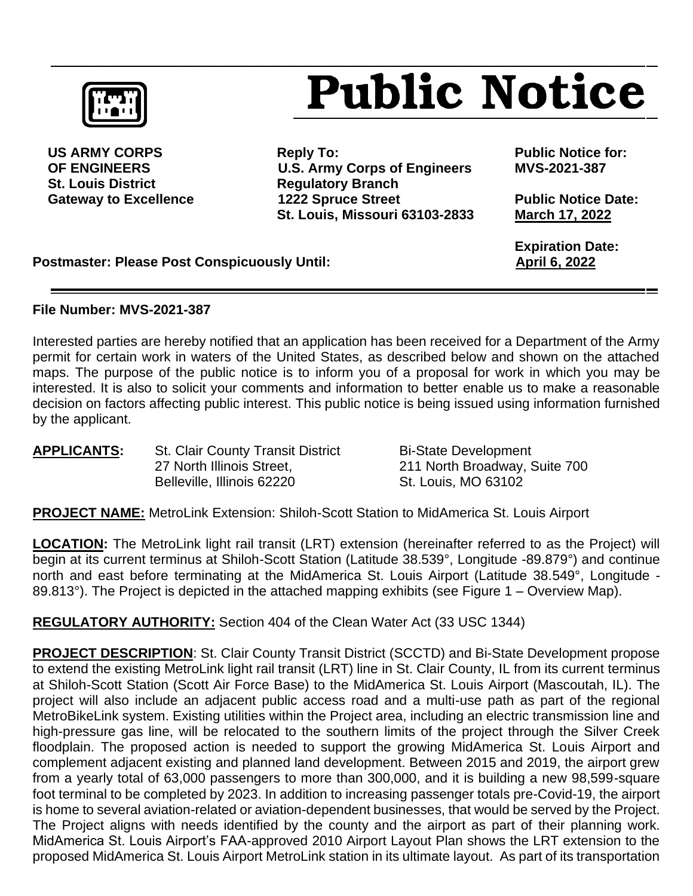

**St. Louis District Communist Communist Requilatory Branch** 

US ARMY CORPS **Reply To:** Reply To: Public Notice for:  **OF ENGINEERS U.S. Army Corps of Engineers MVS-2021-387** Gateway to Excellence **1222 Spruce Street** Public Notice Date: **St. Louis, Missouri 63103-2833 March 17, 2022**

 **Expiration Date:**

**Postmaster: Please Post Conspicuously Until:** April 6, 2022

## **File Number: MVS-2021-387**

Interested parties are hereby notified that an application has been received for a Department of the Army permit for certain work in waters of the United States, as described below and shown on the attached maps. The purpose of the public notice is to inform you of a proposal for work in which you may be interested. It is also to solicit your comments and information to better enable us to make a reasonable decision on factors affecting public interest. This public notice is being issued using information furnished by the applicant.

| <b>APPLICANTS:</b> | <b>St. Clair County Transit District</b> |  |  |  |
|--------------------|------------------------------------------|--|--|--|
|                    | 27 North Illinois Street,                |  |  |  |
|                    | Belleville, Illinois 62220               |  |  |  |

**Bi-State Development** 211 North Broadway, Suite 700 St. Louis, MO 63102

**Public Notice** 

**PROJECT NAME:** MetroLink Extension: Shiloh-Scott Station to MidAmerica St. Louis Airport

**LOCATION:** The MetroLink light rail transit (LRT) extension (hereinafter referred to as the Project) will begin at its current terminus at Shiloh-Scott Station (Latitude 38.539°, Longitude -89.879°) and continue north and east before terminating at the MidAmerica St. Louis Airport (Latitude 38.549°, Longitude - 89.813°). The Project is depicted in the attached mapping exhibits (see Figure 1 – Overview Map).

**REGULATORY AUTHORITY:** Section 404 of the Clean Water Act (33 USC 1344)

**PROJECT DESCRIPTION**: St. Clair County Transit District (SCCTD) and Bi-State Development propose to extend the existing MetroLink light rail transit (LRT) line in St. Clair County, IL from its current terminus at Shiloh-Scott Station (Scott Air Force Base) to the MidAmerica St. Louis Airport (Mascoutah, IL). The project will also include an adjacent public access road and a multi-use path as part of the regional MetroBikeLink system. Existing utilities within the Project area, including an electric transmission line and high-pressure gas line, will be relocated to the southern limits of the project through the Silver Creek floodplain. The proposed action is needed to support the growing MidAmerica St. Louis Airport and complement adjacent existing and planned land development. Between 2015 and 2019, the airport grew from a yearly total of 63,000 passengers to more than 300,000, and it is building a new 98,599-square foot terminal to be completed by 2023. In addition to increasing passenger totals pre-Covid-19, the airport is home to several aviation-related or aviation-dependent businesses, that would be served by the Project. The Project aligns with needs identified by the county and the airport as part of their planning work. MidAmerica St. Louis Airport's FAA-approved 2010 Airport Layout Plan shows the LRT extension to the proposed MidAmerica St. Louis Airport MetroLink station in its ultimate layout. As part of its transportation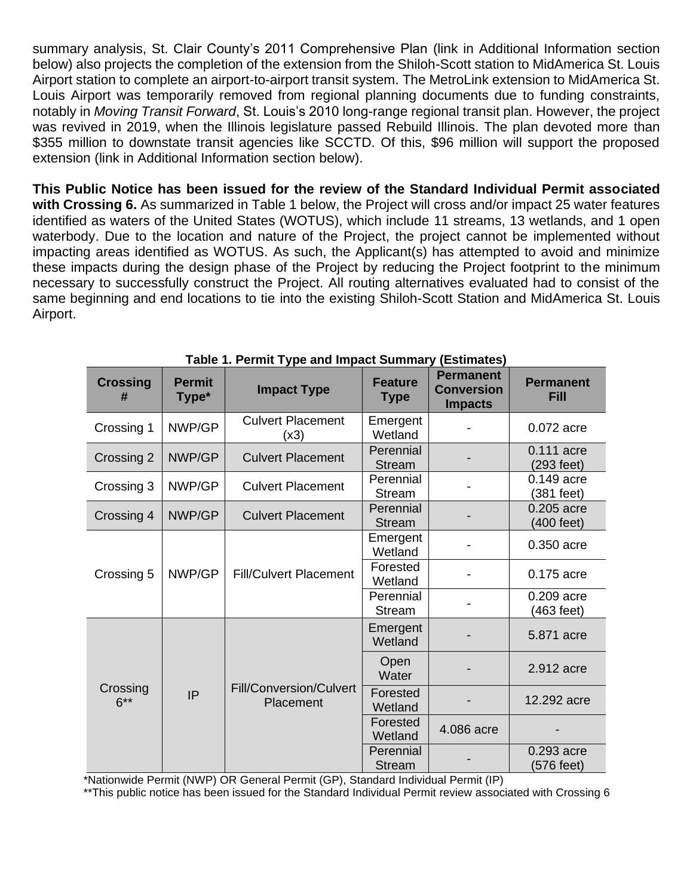summary analysis, St. Clair County's 2011 Comprehensive Plan (link in Additional Information section below) also projects the completion of the extension from the Shiloh-Scott station to MidAmerica St. Louis Airport station to complete an airport-to-airport transit system. The MetroLink extension to MidAmerica St. Louis Airport was temporarily removed from regional planning documents due to funding constraints, notably in *Moving Transit Forward*, St. Louis's 2010 long-range regional transit plan. However, the project was revived in 2019, when the Illinois legislature passed Rebuild Illinois. The plan devoted more than \$355 million to downstate transit agencies like SCCTD. Of this, \$96 million will support the proposed extension (link in Additional Information section below).

**This Public Notice has been issued for the review of the Standard Individual Permit associated with Crossing 6.** As summarized in Table 1 below, the Project will cross and/or impact 25 water features identified as waters of the United States (WOTUS), which include 11 streams, 13 wetlands, and 1 open waterbody. Due to the location and nature of the Project, the project cannot be implemented without impacting areas identified as WOTUS. As such, the Applicant(s) has attempted to avoid and minimize these impacts during the design phase of the Project by reducing the Project footprint to the minimum necessary to successfully construct the Project. All routing alternatives evaluated had to consist of the same beginning and end locations to tie into the existing Shiloh-Scott Station and MidAmerica St. Louis Airport.

| <b>Crossing</b><br>#     | <b>Permit</b><br>Type* | <b>Impact Type</b>                          | <b>Feature</b><br><b>Type</b> | <b>Permanent</b><br><b>Conversion</b><br><b>Impacts</b> | <b>Permanent</b><br><b>Fill</b> |
|--------------------------|------------------------|---------------------------------------------|-------------------------------|---------------------------------------------------------|---------------------------------|
| Crossing 1               | NWP/GP                 | <b>Culvert Placement</b><br>(x3)            | Emergent<br>Wetland           |                                                         | 0.072 acre                      |
| Crossing 2               | NWP/GP                 | <b>Culvert Placement</b>                    | Perennial<br><b>Stream</b>    |                                                         | 0.111 acre<br>(293 feet)        |
| Crossing 3               | NWP/GP                 | <b>Culvert Placement</b>                    | Perennial<br>Stream           |                                                         | 0.149 acre<br>(381 feet)        |
| Crossing 4               | NWP/GP                 | <b>Culvert Placement</b>                    | Perennial<br><b>Stream</b>    |                                                         | 0.205 acre<br>(400 feet)        |
| Crossing 5               |                        | <b>Fill/Culvert Placement</b>               | Emergent<br>Wetland           |                                                         | 0.350 acre                      |
|                          | NWP/GP                 |                                             | Forested<br>Wetland           |                                                         | 0.175 acre                      |
|                          |                        |                                             | Perennial<br>Stream           |                                                         | 0.209 acre<br>(463 feet)        |
| Crossing<br>IP<br>$6***$ |                        |                                             | Emergent<br>Wetland           |                                                         | 5.871 acre                      |
|                          |                        | <b>Fill/Conversion/Culvert</b><br>Placement | Open<br>Water                 |                                                         | 2.912 acre                      |
|                          |                        |                                             | Forested<br>Wetland           |                                                         | 12.292 acre                     |
|                          |                        |                                             | Forested<br>Wetland           | 4.086 acre                                              |                                 |
|                          |                        |                                             | Perennial<br><b>Stream</b>    |                                                         | 0.293 acre<br>576 feet)         |

**Table 1. Permit Type and Impact Summary (Estimates)**

\*Nationwide Permit (NWP) OR General Permit (GP), Standard Individual Permit (IP)

\*\*This public notice has been issued for the Standard Individual Permit review associated with Crossing 6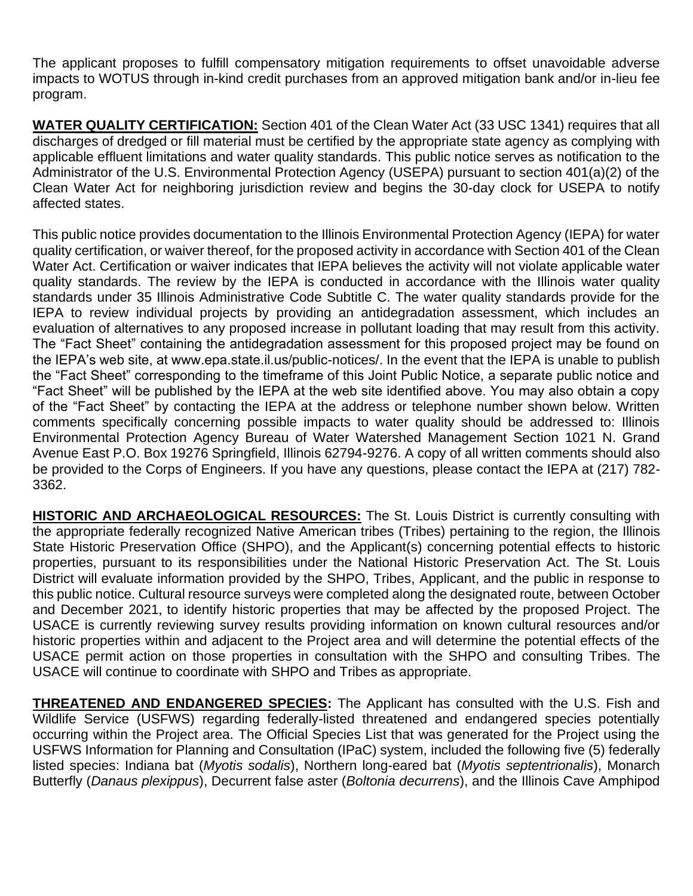The applicant proposes to fulfill compensatory mitigation requirements to offset unavoidable adverse impacts to WOTUS through in-kind credit purchases from an approved mitigation bank and/or in-lieu fee program.

**WATER QUALITY CERTIFICATION:** Section 401 of the Clean Water Act (33 USC 1341) requires that all discharges of dredged or fill material must be certified by the appropriate state agency as complying with applicable effluent limitations and water quality standards. This public notice serves as notification to the Administrator of the U.S. Environmental Protection Agency (USEPA) pursuant to section 401(a)(2) of the Clean Water Act for neighboring jurisdiction review and begins the 30-day clock for USEPA to notify affected states.

This public notice provides documentation to the Illinois Environmental Protection Agency (IEPA) for water quality certification, or waiver thereof, for the proposed activity in accordance with Section 401 of the Clean Water Act. Certification or waiver indicates that IEPA believes the activity will not violate applicable water quality standards. The review by the IEPA is conducted in accordance with the Illinois water quality standards under 35 Illinois Administrative Code Subtitle C. The water quality standards provide for the IEPA to review individual projects by providing an antidegradation assessment, which includes an evaluation of alternatives to any proposed increase in pollutant loading that may result from this activity. The "Fact Sheet" containing the antidegradation assessment for this proposed project may be found on the IEPA's web site, at www.epa.state.il.us/public-notices/. In the event that the IEPA is unable to publish the "Fact Sheet" corresponding to the timeframe of this Joint Public Notice, a separate public notice and "Fact Sheet" will be published by the IEPA at the web site identified above. You may also obtain a copy of the "Fact Sheet" by contacting the IEPA at the address or telephone number shown below. Written comments specifically concerning possible impacts to water quality should be addressed to: Illinois Environmental Protection Agency Bureau of Water Watershed Management Section 1021 N. Grand Avenue East P.O. Box 19276 Springfield, Illinois 62794-9276. A copy of all written comments should also be provided to the Corps of Engineers. If you have any questions, please contact the IEPA at (217) 782- 3362.

**HISTORIC AND ARCHAEOLOGICAL RESOURCES:** The St. Louis District is currently consulting with the appropriate federally recognized Native American tribes (Tribes) pertaining to the region, the Illinois State Historic Preservation Office (SHPO), and the Applicant(s) concerning potential effects to historic properties, pursuant to its responsibilities under the National Historic Preservation Act. The St. Louis District will evaluate information provided by the SHPO, Tribes, Applicant, and the public in response to this public notice. Cultural resource surveys were completed along the designated route, between October and December 2021, to identify historic properties that may be affected by the proposed Project. The USACE is currently reviewing survey results providing information on known cultural resources and/or historic properties within and adjacent to the Project area and will determine the potential effects of the USACE permit action on those properties in consultation with the SHPO and consulting Tribes. The USACE will continue to coordinate with SHPO and Tribes as appropriate.

**THREATENED AND ENDANGERED SPECIES:** The Applicant has consulted with the U.S. Fish and Wildlife Service (USFWS) regarding federally-listed threatened and endangered species potentially occurring within the Project area. The Official Species List that was generated for the Project using the USFWS Information for Planning and Consultation (IPaC) system, included the following five (5) federally listed species: Indiana bat (*Myotis sodalis*), Northern long-eared bat (*Myotis septentrionalis*), Monarch Butterfly (*Danaus plexippus*), Decurrent false aster (*Boltonia decurrens*), and the Illinois Cave Amphipod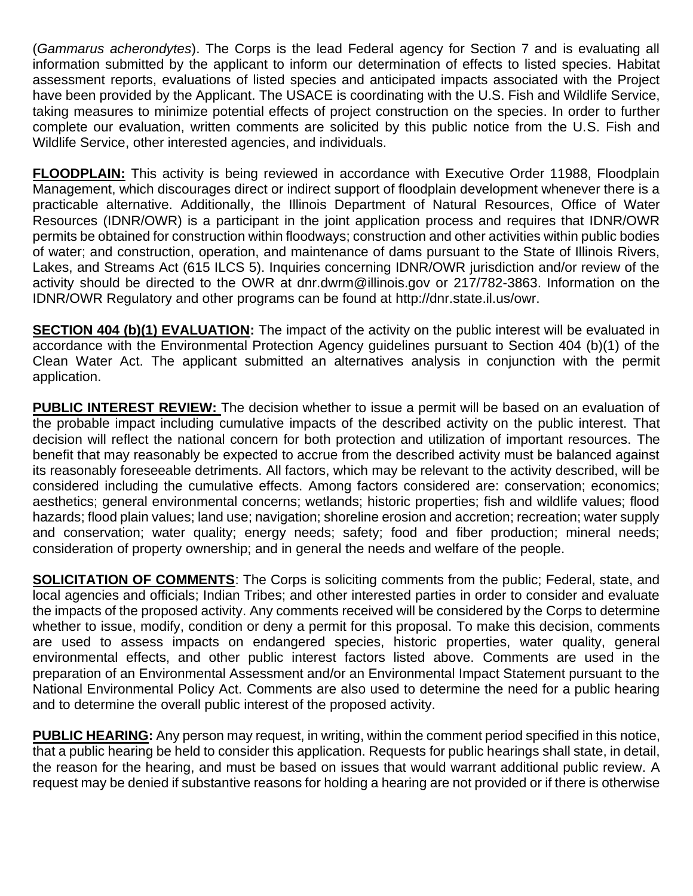(*Gammarus acherondytes*). The Corps is the lead Federal agency for Section 7 and is evaluating all information submitted by the applicant to inform our determination of effects to listed species. Habitat assessment reports, evaluations of listed species and anticipated impacts associated with the Project have been provided by the Applicant. The USACE is coordinating with the U.S. Fish and Wildlife Service, taking measures to minimize potential effects of project construction on the species. In order to further complete our evaluation, written comments are solicited by this public notice from the U.S. Fish and Wildlife Service, other interested agencies, and individuals.

**FLOODPLAIN:** This activity is being reviewed in accordance with Executive Order 11988, Floodplain Management, which discourages direct or indirect support of floodplain development whenever there is a practicable alternative. Additionally, the Illinois Department of Natural Resources, Office of Water Resources (IDNR/OWR) is a participant in the joint application process and requires that IDNR/OWR permits be obtained for construction within floodways; construction and other activities within public bodies of water; and construction, operation, and maintenance of dams pursuant to the State of Illinois Rivers, Lakes, and Streams Act (615 ILCS 5). Inquiries concerning IDNR/OWR jurisdiction and/or review of the activity should be directed to the OWR at dnr.dwrm@illinois.gov or 217/782-3863. Information on the IDNR/OWR Regulatory and other programs can be found at [http://dnr.state.il.us/owr.](http://dnr.state.il.us/owr)

**SECTION 404 (b)(1) EVALUATION:** The impact of the activity on the public interest will be evaluated in accordance with the Environmental Protection Agency guidelines pursuant to Section 404 (b)(1) of the Clean Water Act. The applicant submitted an alternatives analysis in conjunction with the permit application.

**PUBLIC INTEREST REVIEW:** The decision whether to issue a permit will be based on an evaluation of the probable impact including cumulative impacts of the described activity on the public interest. That decision will reflect the national concern for both protection and utilization of important resources. The benefit that may reasonably be expected to accrue from the described activity must be balanced against its reasonably foreseeable detriments. All factors, which may be relevant to the activity described, will be considered including the cumulative effects. Among factors considered are: conservation; economics; aesthetics; general environmental concerns; wetlands; historic properties; fish and wildlife values; flood hazards; flood plain values; land use; navigation; shoreline erosion and accretion; recreation; water supply and conservation; water quality; energy needs; safety; food and fiber production; mineral needs; consideration of property ownership; and in general the needs and welfare of the people.

**SOLICITATION OF COMMENTS:** The Corps is soliciting comments from the public; Federal, state, and local agencies and officials; Indian Tribes; and other interested parties in order to consider and evaluate the impacts of the proposed activity. Any comments received will be considered by the Corps to determine whether to issue, modify, condition or deny a permit for this proposal. To make this decision, comments are used to assess impacts on endangered species, historic properties, water quality, general environmental effects, and other public interest factors listed above. Comments are used in the preparation of an Environmental Assessment and/or an Environmental Impact Statement pursuant to the National Environmental Policy Act. Comments are also used to determine the need for a public hearing and to determine the overall public interest of the proposed activity.

**PUBLIC HEARING:** Any person may request, in writing, within the comment period specified in this notice, that a public hearing be held to consider this application. Requests for public hearings shall state, in detail, the reason for the hearing, and must be based on issues that would warrant additional public review. A request may be denied if substantive reasons for holding a hearing are not provided or if there is otherwise